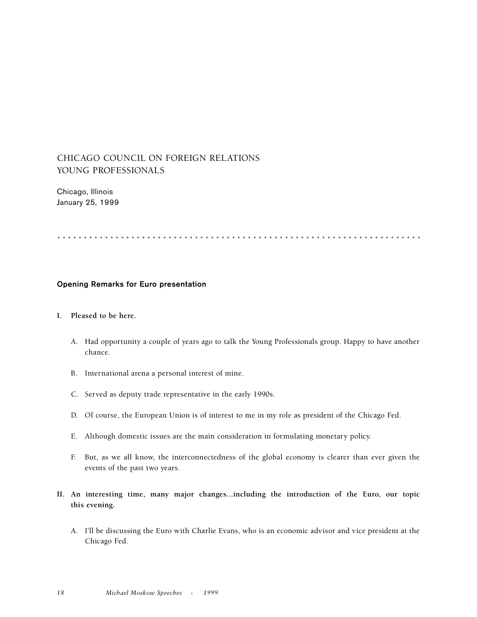## CHICAGO COUNCIL ON FOREIGN RELATIONS YOUNG PROFESSIONALS

Chicago, Illinois January 25, 1999

.....................................................................

## **Opening Remarks for Euro presentation**

## **I. Pleased to be here.**

- A. Had opportunity a couple of years ago to talk the Young Professionals group. Happy to have another chance.
- B. International arena a personal interest of mine.
- C. Served as deputy trade representative in the early 1990s.
- D. Of course, the European Union is of interest to me in my role as president of the Chicago Fed.
- E. Although domestic issues are the main consideration in formulating monetary policy.
- F. But, as we all know, the interconnectedness of the global economy is clearer than ever given the events of the past two years.
- **II. An interesting time, many major changes...including the introduction of the Euro, our topic this evening.**
	- A. I'll be discussing the Euro with Charlie Evans, who is an economic advisor and vice president at the Chicago Fed.